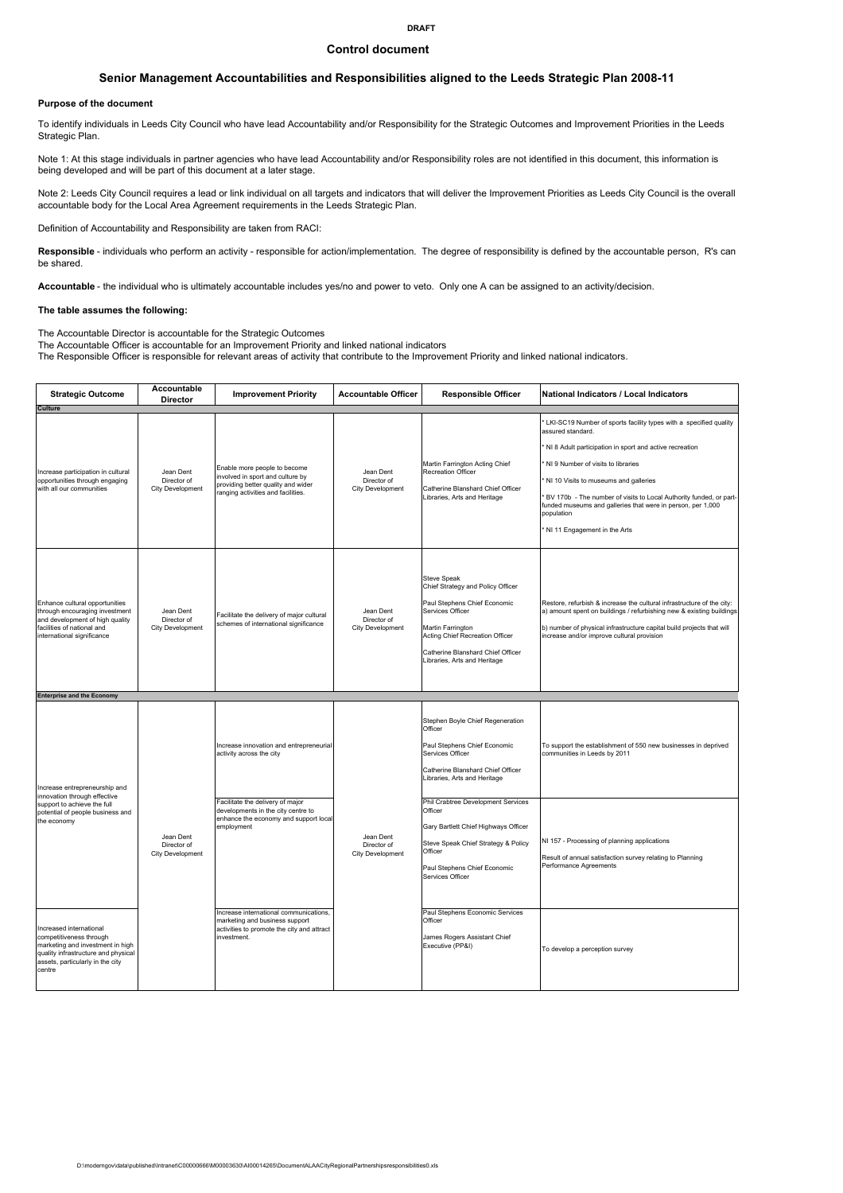#### Control document

## Senior Management Accountabilities and Responsibilities aligned to the Leeds Strategic Plan 2008-11

#### Purpose of the document

To identify individuals in Leeds City Council who have lead Accountability and/or Responsibility for the Strategic Outcomes and Improvement Priorities in the Leeds Strategic Plan.

Note 1: At this stage individuals in partner agencies who have lead Accountability and/or Responsibility roles are not identified in this document, this information is being developed and will be part of this document at a later stage.

Note 2: Leeds City Council requires a lead or link individual on all targets and indicators that will deliver the Improvement Priorities as Leeds City Council is the overall accountable body for the Local Area Agreement requirements in the Leeds Strategic Plan.

Definition of Accountability and Responsibility are taken from RACI:

Responsible - individuals who perform an activity - responsible for action/implementation. The degree of responsibility is defined by the accountable person, R's can be shared.

Accountable - the individual who is ultimately accountable includes yes/no and power to veto. Only one A can be assigned to an activity/decision.

#### The table assumes the following:

The Accountable Director is accountable for the Strategic Outcomes

The Accountable Officer is accountable for an Improvement Priority and linked national indicators

The Responsible Officer is responsible for relevant areas of activity that contribute to the Improvement Priority and linked national indicators.

| <b>Strategic Outcome</b>                                                                                                                                                    | Accountable<br><b>Director</b>               | <b>Improvement Priority</b>                                                                                                                  | <b>Accountable Officer</b>                   | <b>Responsible Officer</b>                                                                                                                                                                                                               | National Indicators / Local Indicators                                                                                                                                                                                                                                                                                                                                                                             |
|-----------------------------------------------------------------------------------------------------------------------------------------------------------------------------|----------------------------------------------|----------------------------------------------------------------------------------------------------------------------------------------------|----------------------------------------------|------------------------------------------------------------------------------------------------------------------------------------------------------------------------------------------------------------------------------------------|--------------------------------------------------------------------------------------------------------------------------------------------------------------------------------------------------------------------------------------------------------------------------------------------------------------------------------------------------------------------------------------------------------------------|
| <b>Culture</b><br>Increase participation in cultural<br>opportunities through engaging<br>with all our communities                                                          | Jean Dent<br>Director of<br>City Development | Enable more people to become<br>involved in sport and culture by<br>providing better quality and wider<br>ranging activities and facilities. | Jean Dent<br>Director of<br>City Development | Martin Farrington Acting Chief<br>Recreation Officer<br>Catherine Blanshard Chief Officer<br>Libraries, Arts and Heritage                                                                                                                | LKI-SC19 Number of sports facility types with a specified quality<br>assured standard.<br>NI 8 Adult participation in sport and active recreation<br>NI 9 Number of visits to libraries<br>NI 10 Visits to museums and galleries<br>BV 170b - The number of visits to Local Authority funded, or part-<br>unded museums and galleries that were in person, per 1,000<br>population<br>NI 11 Engagement in the Arts |
| Enhance cultural opportunities<br>through encouraging investment<br>and development of high quality<br>facilities of national and<br>international significance             | Jean Dent<br>Director of<br>City Development | Facilitate the delivery of major cultural<br>schemes of international significance                                                           | Jean Dent<br>Director of<br>City Development | <b>Steve Speak</b><br>Chief Strategy and Policy Officer<br>Paul Stephens Chief Economic<br>Services Officer<br>Martin Farrington<br>Acting Chief Recreation Officer<br>Catherine Blanshard Chief Officer<br>Libraries, Arts and Heritage | Restore, refurbish & increase the cultural infrastructure of the city:<br>a) amount spent on buildings / refurbishing new & existing buildings<br>b) number of physical infrastructure capital build projects that will<br>increase and/or improve cultural provision                                                                                                                                              |
| <b>Enterprise and the Economy</b>                                                                                                                                           |                                              |                                                                                                                                              |                                              |                                                                                                                                                                                                                                          |                                                                                                                                                                                                                                                                                                                                                                                                                    |
| Increase entrepreneurship and                                                                                                                                               |                                              | Increase innovation and entrepreneurial<br>activity across the city                                                                          |                                              | Stephen Boyle Chief Regeneration<br>Officer<br>Paul Stephens Chief Economic<br>Services Officer<br>Catherine Blanshard Chief Officer<br>Libraries, Arts and Heritage                                                                     | To support the establishment of 550 new businesses in deprived<br>communities in Leeds by 2011                                                                                                                                                                                                                                                                                                                     |
| innovation through effective<br>support to achieve the full<br>potential of people business and<br>the economy                                                              | Jean Dent<br>Director of<br>City Development | Facilitate the delivery of major<br>developments in the city centre to<br>enhance the economy and support local<br>employment                | Jean Dent<br>Director of<br>City Development | Phil Crabtree Development Services<br>Officer<br>Gary Bartlett Chief Highways Officer<br>Steve Speak Chief Strategy & Policy<br>Officer<br>Paul Stephens Chief Economic<br>Services Officer                                              | NI 157 - Processing of planning applications<br>Result of annual satisfaction survey relating to Planning<br>Performance Agreements                                                                                                                                                                                                                                                                                |
| Increased international<br>competitiveness through<br>marketing and investment in high<br>quality infrastructure and physical<br>assets, particularly in the city<br>centre |                                              | Increase international communications,<br>marketing and business support<br>activities to promote the city and attract<br>investment.        |                                              | Paul Stephens Economic Services<br>Officer<br>James Rogers Assistant Chief<br>Executive (PP&I)                                                                                                                                           | To develop a perception survey                                                                                                                                                                                                                                                                                                                                                                                     |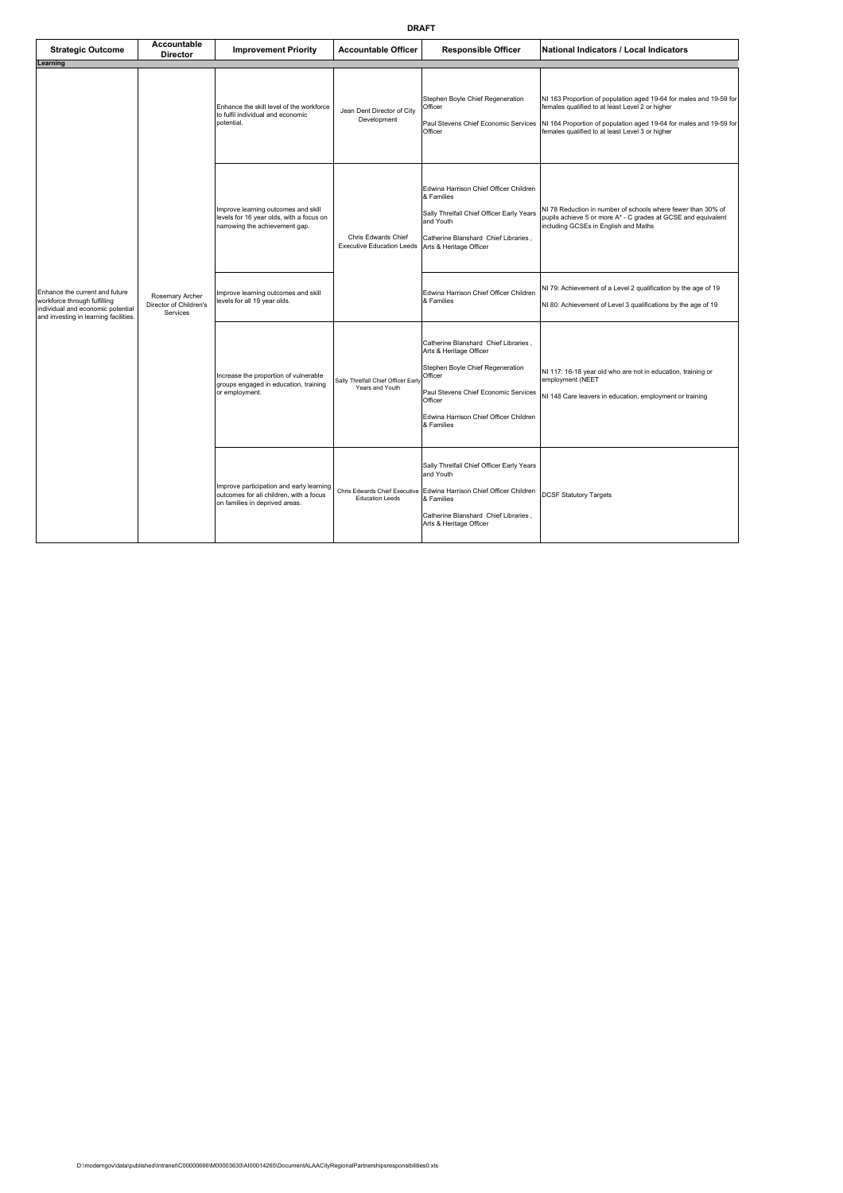| <b>Strategic Outcome</b>                                                                                                                     | <b>Accountable</b><br><b>Director</b>                 | <b>Improvement Priority</b>                                                                                           | <b>Accountable Officer</b>                              | <b>Responsible Officer</b>                                                                                                                                                                                                | <b>National Indicators / Local Indicators</b>                                                                                                                                                                                                  |
|----------------------------------------------------------------------------------------------------------------------------------------------|-------------------------------------------------------|-----------------------------------------------------------------------------------------------------------------------|---------------------------------------------------------|---------------------------------------------------------------------------------------------------------------------------------------------------------------------------------------------------------------------------|------------------------------------------------------------------------------------------------------------------------------------------------------------------------------------------------------------------------------------------------|
| Learning                                                                                                                                     |                                                       |                                                                                                                       |                                                         |                                                                                                                                                                                                                           |                                                                                                                                                                                                                                                |
|                                                                                                                                              | Rosemary Archer<br>Director of Children's<br>Services | Enhance the skill level of the workforce<br>to fulfil individual and economic<br>potential.                           | Jean Dent Director of City<br>Development               | Stephen Boyle Chief Regeneration<br>Officer<br>Paul Stevens Chief Economic Services<br>Officer                                                                                                                            | NI 163 Proportion of population aged 19-64 for males and 19-59 for<br>females qualified to at least Level 2 or higher<br>NI 164 Proportion of population aged 19-64 for males and 19-59 for<br>females qualified to at least Level 3 or higher |
|                                                                                                                                              |                                                       | Improve learning outcomes and skill<br>levels for 16 year olds, with a focus on<br>narrowing the achievement gap.     | Chris Edwards Chief<br><b>Executive Education Leeds</b> | Edwina Harrison Chief Officer Children<br>& Families<br>Sally Threlfall Chief Officer Early Years<br>and Youth<br>Catherine Blanshard Chief Libraries,<br>Arts & Heritage Officer                                         | NI 78 Reduction in number of schools where fewer than 30% of<br>pupils achieve 5 or more A* - C grades at GCSE and equivalent<br>including GCSEs in English and Maths                                                                          |
| Enhance the current and future<br>workforce through fulfilling<br>individual and economic potential<br>and investing in learning facilities. |                                                       | Improve learning outcomes and skill<br>levels for all 19 year olds.                                                   |                                                         | Edwina Harrison Chief Officer Children<br>& Families                                                                                                                                                                      | NI 79: Achievement of a Level 2 qualification by the age of 19<br>NI 80: Achievement of Level 3 qualifications by the age of 19                                                                                                                |
|                                                                                                                                              |                                                       | Increase the proportion of vulnerable<br>groups engaged in education, training<br>or employment.                      | Sally Threlfall Chief Officer Early<br>Years and Youth  | Catherine Blanshard Chief Libraries.<br>Arts & Heritage Officer<br>Stephen Boyle Chief Regeneration<br>Officer<br>Paul Stevens Chief Economic Services<br>Officer<br>Edwina Harrison Chief Officer Children<br>& Families | NI 117: 16-18 year old who are not in education, training or<br>employment (NEET<br>NI 148 Care leavers in education, employment or training                                                                                                   |
|                                                                                                                                              |                                                       | Improve participation and early learning<br>outcomes for all children, with a focus<br>on families in deprived areas. | Chris Edwards Chief Executive<br><b>Education Leeds</b> | Sally Threlfall Chief Officer Early Years<br>and Youth<br>Edwina Harrison Chief Officer Children<br>& Families<br>Catherine Blanshard Chief Libraries,<br>Arts & Heritage Officer                                         | <b>DCSF Statutory Targets</b>                                                                                                                                                                                                                  |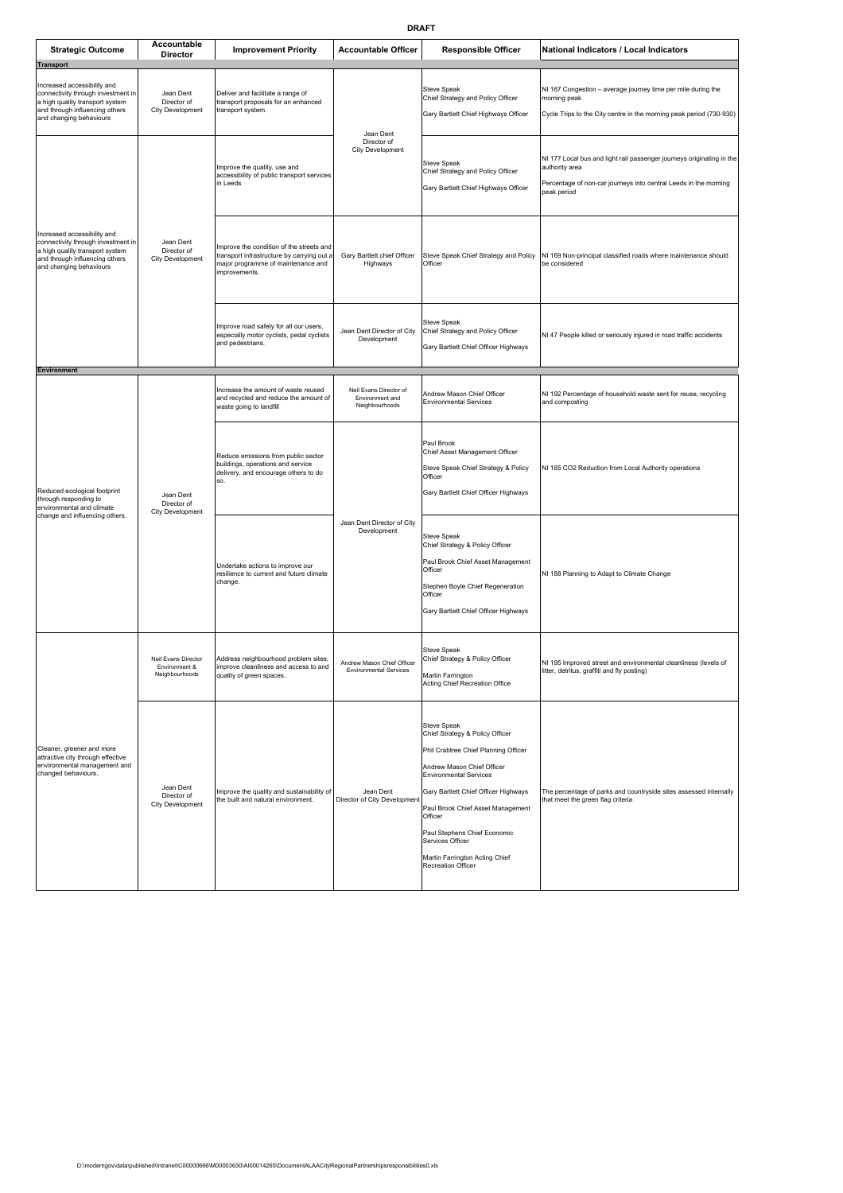| <b>Strategic Outcome</b>                                                                                                                                                              | Accountable<br>Director                                | <b>Improvement Priority</b>                                                                                                                   | <b>Accountable Officer</b>                                  | <b>Responsible Officer</b>                                                                                                                                                                                                                                                                                                                                | National Indicators / Local Indicators                                                                                                                                     |
|---------------------------------------------------------------------------------------------------------------------------------------------------------------------------------------|--------------------------------------------------------|-----------------------------------------------------------------------------------------------------------------------------------------------|-------------------------------------------------------------|-----------------------------------------------------------------------------------------------------------------------------------------------------------------------------------------------------------------------------------------------------------------------------------------------------------------------------------------------------------|----------------------------------------------------------------------------------------------------------------------------------------------------------------------------|
| <b>Transport</b><br>Increased accessibility and<br>connectivity through investment in<br>a high quality transport system<br>and through influencing others<br>and changing behaviours | Jean Dent<br>Director of<br>City Development           | Deliver and facilitate a range of<br>transport proposals for an enhanced<br>transport system.                                                 |                                                             | Steve Speak<br>Chief Strategy and Policy Officer<br>Gary Bartlett Chief Highways Officer                                                                                                                                                                                                                                                                  | NI 167 Congestion - average journey time per mile during the<br>morning peak<br>Cycle Trips to the City centre in the morning peak period (730-930)                        |
|                                                                                                                                                                                       |                                                        | Improve the quality, use and<br>accessibility of public transport services<br>in Leeds                                                        | Jean Dent<br>Director of<br><b>City Development</b>         | <b>Steve Speak</b><br>Chief Strategy and Policy Officer<br>Gary Bartlett Chief Highways Officer                                                                                                                                                                                                                                                           | NI 177 Local bus and light rail passenger journeys originating in the<br>authority area<br>Percentage of non-car journeys into central Leeds in the morning<br>peak period |
| Increased accessibility and<br>connectivity through investment in<br>a high quality transport system<br>and through influencing others<br>and changing behaviours                     | Jean Dent<br>Director of<br>City Development           | Improve the condition of the streets and<br>transport infrastructure by carrying out a<br>major programme of maintenance and<br>improvements. | Gary Bartlett chief Officer<br>Highways                     | Steve Speak Chief Strategy and Policy<br>Officer                                                                                                                                                                                                                                                                                                          | NI 169 Non-principal classified roads where maintenance should<br>be considered                                                                                            |
|                                                                                                                                                                                       |                                                        | Improve road safety for all our users,<br>especially motor cyclists, pedal cyclists<br>and pedestrians.                                       | Jean Dent Director of City<br>Development                   | Steve Speak<br>Chief Strategy and Policy Officer<br>Gary Bartlett Chief Officer Highways                                                                                                                                                                                                                                                                  | NI 47 People killed or seriously injured in road traffic accidents                                                                                                         |
| <b>Environment</b>                                                                                                                                                                    | Jean Dent<br>Director of<br>City Development           | Increase the amount of waste reused<br>and recycled and reduce the amount of<br>waste going to landfill                                       | Neil Evans Director of<br>Environment and<br>Neighbourhoods | Andrew Mason Chief Officer<br><b>Environmental Services</b>                                                                                                                                                                                                                                                                                               | NI 192 Percentage of household waste sent for reuse, recycling<br>and composting                                                                                           |
| Reduced ecological footprint<br>through responding to<br>environmental and climate<br>change and influencing others.                                                                  |                                                        | Reduce emissions from public sector<br>buildings, operations and service<br>delivery, and encourage others to do<br>SO.                       |                                                             | Paul Brook<br>Chief Asset Management Officer<br>Steve Speak Chief Strategy & Policy<br>Officer<br>Gary Bartlett Chief Officer Highways                                                                                                                                                                                                                    | NI 185 CO2 Reduction from Local Authority operations                                                                                                                       |
|                                                                                                                                                                                       |                                                        | Undertake actions to improve our<br>resilience to current and future climate<br>change.                                                       | Jean Dent Director of City<br>Development                   | <b>Steve Speak</b><br>Chief Strategy & Policy Officer<br>Paul Brook Chief Asset Management<br>Officer<br>Stephen Boyle Chief Regeneration<br>Officer<br>Gary Bartlett Chief Officer Highways                                                                                                                                                              | NI 188 Planning to Adapt to Climate Change                                                                                                                                 |
| Cleaner, greener and more<br>attractive city through effective<br>environmental management and<br>changed behaviours.                                                                 | Neil Evans Director<br>Environment &<br>Neighbourhoods | Address neighbourhood problem sites;<br>improve cleanliness and access to and<br>quality of green spaces.                                     | Andrew Mason Chief Officer<br>Environmental Services        | Steve Speak<br>Chief Strategy & Policy Officer<br>Martin Farrington<br>Acting Chief Recreation Office                                                                                                                                                                                                                                                     | NI 195 Improved street and environmental cleanliness (levels of<br>itter, detritus, graffiti and fly posting)                                                              |
|                                                                                                                                                                                       | Jean Dent<br>Director of<br>City Development           | Improve the quality and sustainability of<br>the built and natural environment.                                                               | Jean Dent<br>Director of City Development                   | Steve Speak<br>Chief Strategy & Policy Officer<br>Phil Crabtree Chief Planning Officer<br>Andrew Mason Chief Officer<br><b>Environmental Services</b><br>Gary Bartlett Chief Officer Highways<br>Paul Brook Chief Asset Management<br>Officer<br>Paul Stephens Chief Economic<br>Services Officer<br>Martin Farrington Acting Chief<br>Recreation Officer | The percentage of parks and countryside sites assessed internally<br>that meet the green flag criteria                                                                     |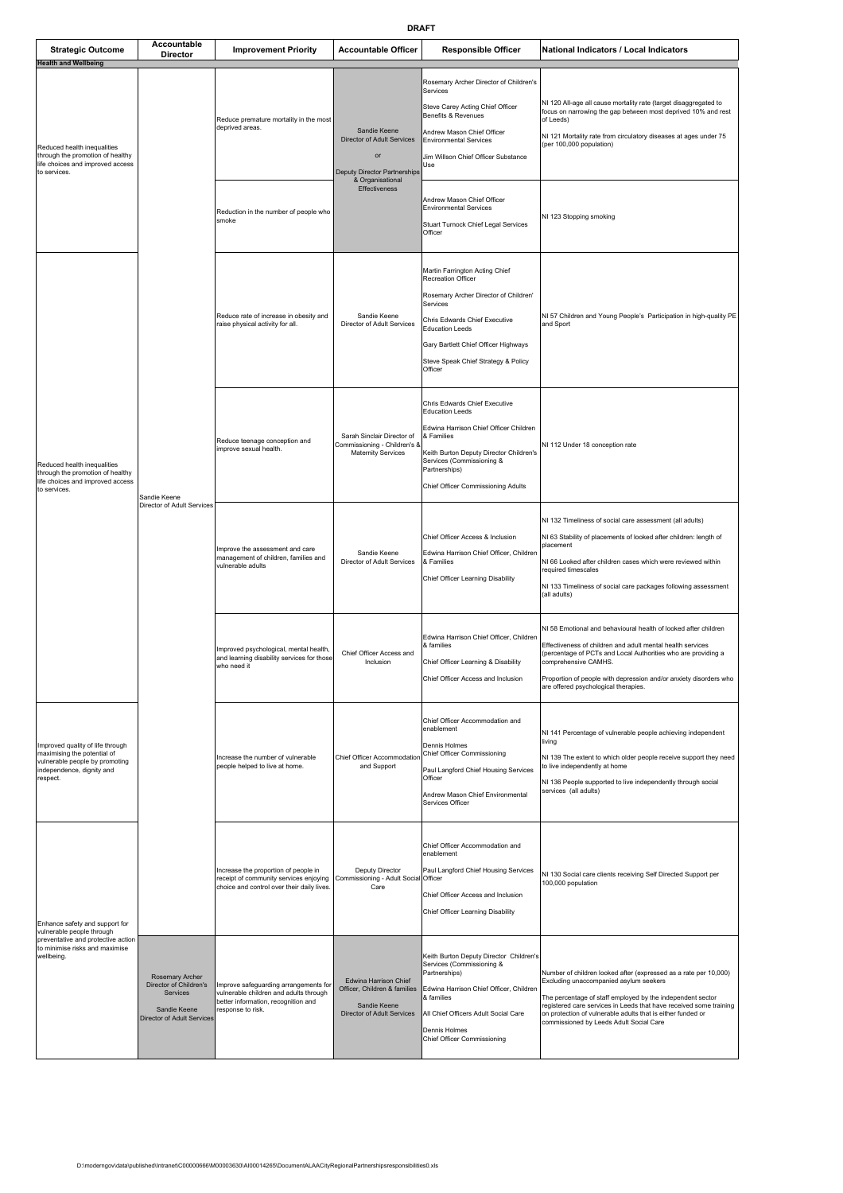| <b>Strategic Outcome</b><br><b>Health and Wellbeing</b>                                                                                           | Accountable<br>Director                                                                                    | <b>Improvement Priority</b>                                                                                                                 | <b>Accountable Officer</b>                                                                                  | <b>Responsible Officer</b>                                                                                                                                                                                                                                     | National Indicators / Local Indicators                                                                                                                                                                                                                                                                                                                   |
|---------------------------------------------------------------------------------------------------------------------------------------------------|------------------------------------------------------------------------------------------------------------|---------------------------------------------------------------------------------------------------------------------------------------------|-------------------------------------------------------------------------------------------------------------|----------------------------------------------------------------------------------------------------------------------------------------------------------------------------------------------------------------------------------------------------------------|----------------------------------------------------------------------------------------------------------------------------------------------------------------------------------------------------------------------------------------------------------------------------------------------------------------------------------------------------------|
| Reduced health inequalities<br>through the promotion of healthy<br>life choices and improved access<br>to services.                               | Sandie Keene<br>Director of Adult Services                                                                 | Reduce premature mortality in the most<br>deprived areas.                                                                                   | Sandie Keene<br>Director of Adult Services<br>or<br><b>Deputy Director Partnerships</b><br>& Organisational | Rosemary Archer Director of Children's<br>Services<br>Steve Carey Acting Chief Officer<br>Benefits & Revenues<br>Andrew Mason Chief Officer<br><b>Environmental Services</b><br>Jim Willson Chief Officer Substance<br>Use                                     | NI 120 All-age all cause mortality rate (target disaggregated to<br>focus on narrowing the gap between most deprived 10% and rest<br>of Leeds)<br>NI 121 Mortality rate from circulatory diseases at ages under 75<br>(per 100,000 population)                                                                                                           |
|                                                                                                                                                   |                                                                                                            | Reduction in the number of people who<br>smoke                                                                                              | Effectiveness                                                                                               | Andrew Mason Chief Officer<br><b>Environmental Services</b><br><b>Stuart Turnock Chief Legal Services</b><br>Officer                                                                                                                                           | NI 123 Stopping smoking                                                                                                                                                                                                                                                                                                                                  |
|                                                                                                                                                   |                                                                                                            | Reduce rate of increase in obesity and<br>raise physical activity for all.                                                                  | Sandie Keene<br>Director of Adult Services                                                                  | Martin Farrington Acting Chief<br>Recreation Officer<br>Rosemary Archer Director of Children'<br>Services<br>Chris Edwards Chief Executive<br><b>Education Leeds</b><br>Gary Bartlett Chief Officer Highways<br>Steve Speak Chief Strategy & Policy<br>Officer | NI 57 Children and Young People's Participation in high-quality PE<br>and Sport                                                                                                                                                                                                                                                                          |
| Reduced health inequalities<br>through the promotion of healthy<br>life choices and improved access<br>to services.                               |                                                                                                            | Reduce teenage conception and<br>improve sexual health.                                                                                     | Sarah Sinclair Director of<br>Commissioning - Children's &<br><b>Maternity Services</b>                     | Chris Edwards Chief Executive<br><b>Education Leeds</b><br>Edwina Harrison Chief Officer Children<br>& Families<br>Keith Burton Deputy Director Children's<br>Services (Commissioning &<br>Partnerships)<br>Chief Officer Commissioning Adults                 | NI 112 Under 18 conception rate                                                                                                                                                                                                                                                                                                                          |
|                                                                                                                                                   |                                                                                                            | Improve the assessment and care<br>management of children, families and<br>vulnerable adults                                                | Sandie Keene<br>Director of Adult Services                                                                  | Chief Officer Access & Inclusion<br>Edwina Harrison Chief Officer, Children<br>& Families<br>Chief Officer Learning Disability                                                                                                                                 | NI 132 Timeliness of social care assessment (all adults)<br>NI 63 Stability of placements of looked after children: length of<br>placement<br>NI 66 Looked after children cases which were reviewed within<br>required timescales<br>NI 133 Timeliness of social care packages following assessment<br>(all adults)                                      |
|                                                                                                                                                   |                                                                                                            | Improved psychological, mental health,<br>and learning disability services for those<br>who need it                                         | Chief Officer Access and<br>Inclusion                                                                       | Edwina Harrison Chief Officer, Children<br>& families<br>Chief Officer Learning & Disability<br>Chief Officer Access and Inclusion                                                                                                                             | NI 58 Emotional and behavioural health of looked after children<br>Effectiveness of children and adult mental health services<br>(percentage of PCTs and Local Authorities who are providing a<br>comprehensive CAMHS.<br>Proportion of people with depression and/or anxiety disorders who<br>are offered psychological therapies.                      |
| Improved quality of life through<br>maximising the potential of<br>vulnerable people by promoting<br>independence, dignity and<br>respect.        |                                                                                                            | Increase the number of vulnerable<br>people helped to live at home.                                                                         | Chief Officer Accommodation<br>and Support                                                                  | Chief Officer Accommodation and<br>enablement<br>Dennis Holmes<br>Chief Officer Commissioning<br>Paul Langford Chief Housing Services<br>Officer<br>Andrew Mason Chief Environmental<br>Services Officer                                                       | NI 141 Percentage of vulnerable people achieving independent<br>living<br>NI 139 The extent to which older people receive support they need<br>to live independently at home<br>NI 136 People supported to live independently through social<br>services (all adults)                                                                                    |
| Enhance safety and support for<br>vulnerable people through<br>preventative and protective action<br>to minimise risks and maximise<br>wellbeing. |                                                                                                            | Increase the proportion of people in<br>receipt of community services enjoying<br>choice and control over their daily lives.                | Deputy Director<br>Commissioning - Adult Social<br>Care                                                     | Chief Officer Accommodation and<br>enablement<br>Paul Langford Chief Housing Services<br>Officer<br>Chief Officer Access and Inclusion<br>Chief Officer Learning Disability                                                                                    | NI 130 Social care clients receiving Self Directed Support per<br>100,000 population                                                                                                                                                                                                                                                                     |
|                                                                                                                                                   | Rosemary Archer<br>Director of Children's<br>Services<br>Sandie Keene<br><b>Director of Adult Services</b> | Improve safeguarding arrangements for<br>vulnerable children and adults through<br>better information, recognition and<br>response to risk. | Edwina Harrison Chief<br>Officer, Children & families<br>Sandie Keene<br>Director of Adult Services         | Keith Burton Deputy Director Children's<br>Services (Commissioning &<br>Partnerships)<br>Edwina Harrison Chief Officer, Children<br>& families<br>All Chief Officers Adult Social Care<br>Dennis Holmes<br>Chief Officer Commissioning                         | Number of children looked after (expressed as a rate per 10,000)<br>Excluding unaccompanied asylum seekers<br>The percentage of staff employed by the independent sector<br>registered care services in Leeds that have received some training<br>on protection of vulnerable adults that is either funded or<br>commissioned by Leeds Adult Social Care |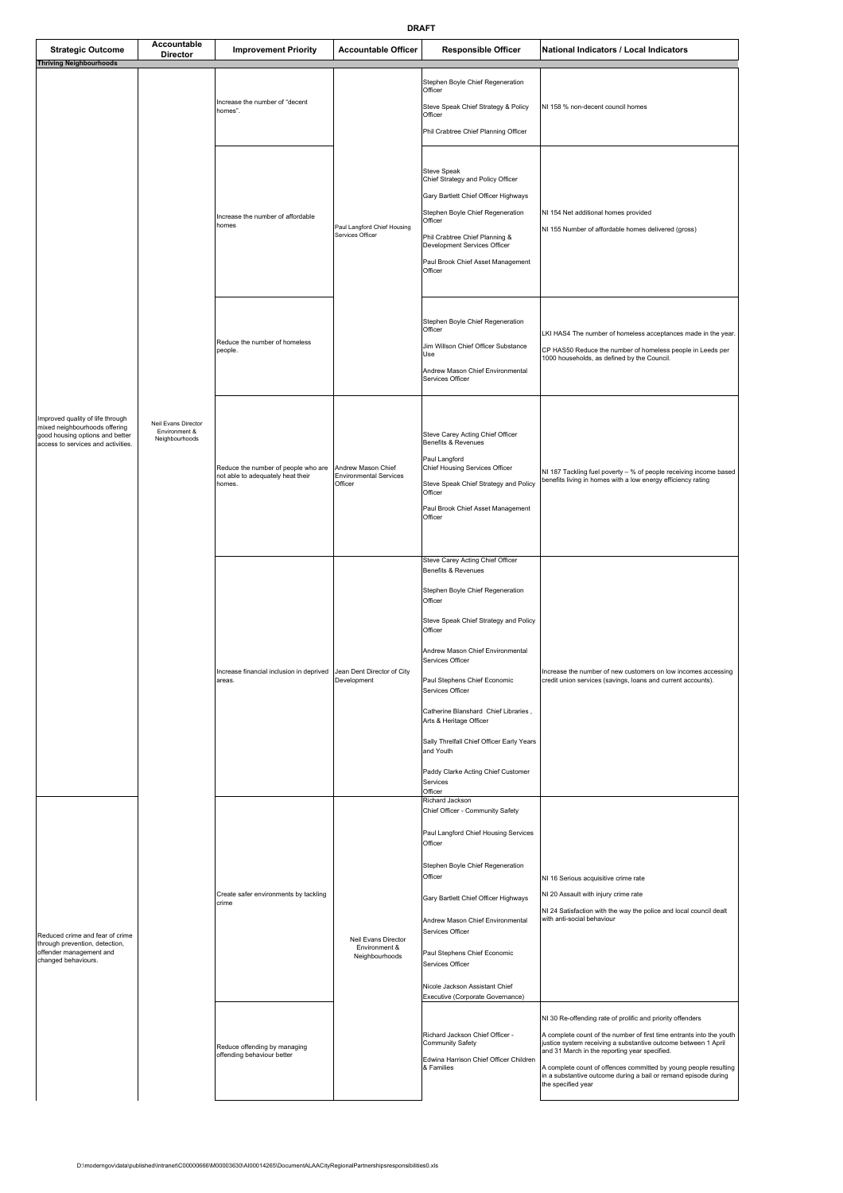| <b>Strategic Outcome</b><br><b>Thriving Neighbourhoods</b>                                                                                 | Accountable<br><b>Director</b>                         | <b>Improvement Priority</b>                                                        | <b>Accountable Officer</b>                                     | <b>Responsible Officer</b>                                                                                                                                                                                                                                                                                                                                                                                                                                       | National Indicators / Local Indicators                                                                                                                                                                                                                                                                                                                                                                             |
|--------------------------------------------------------------------------------------------------------------------------------------------|--------------------------------------------------------|------------------------------------------------------------------------------------|----------------------------------------------------------------|------------------------------------------------------------------------------------------------------------------------------------------------------------------------------------------------------------------------------------------------------------------------------------------------------------------------------------------------------------------------------------------------------------------------------------------------------------------|--------------------------------------------------------------------------------------------------------------------------------------------------------------------------------------------------------------------------------------------------------------------------------------------------------------------------------------------------------------------------------------------------------------------|
| Improved quality of life through<br>mixed neighbourhoods offering<br>good housing options and better<br>access to services and activities. | Neil Evans Director<br>Environment &<br>Neighbourhoods | Increase the number of "decent<br>homes".                                          | Paul Langford Chief Housing<br>Services Officer                | Stephen Boyle Chief Regeneration<br>Officer<br>Steve Speak Chief Strategy & Policy<br>Officer<br>Phil Crabtree Chief Planning Officer                                                                                                                                                                                                                                                                                                                            | NI 158 % non-decent council homes                                                                                                                                                                                                                                                                                                                                                                                  |
|                                                                                                                                            |                                                        | ncrease the number of affordable<br>homes                                          |                                                                | <b>Steve Speak</b><br>Chief Strategy and Policy Officer<br>Gary Bartlett Chief Officer Highways<br>Stephen Boyle Chief Regeneration<br>Officer<br>Phil Crabtree Chief Planning &<br>Development Services Officer<br>Paul Brook Chief Asset Management<br>Officer                                                                                                                                                                                                 | NI 154 Net additional homes provided<br>NI 155 Number of affordable homes delivered (gross)                                                                                                                                                                                                                                                                                                                        |
|                                                                                                                                            |                                                        | Reduce the number of homeless<br>people.                                           |                                                                | Stephen Boyle Chief Regeneration<br>Officer<br>Jim Willson Chief Officer Substance<br>Use<br>Andrew Mason Chief Environmental<br>Services Officer                                                                                                                                                                                                                                                                                                                | LKI HAS4 The number of homeless acceptances made in the year.<br>CP HAS50 Reduce the number of homeless people in Leeds per<br>1000 households, as defined by the Council.                                                                                                                                                                                                                                         |
|                                                                                                                                            |                                                        | Reduce the number of people who are<br>not able to adequately heat their<br>homes. | Andrew Mason Chief<br><b>Environmental Services</b><br>Officer | Steve Carey Acting Chief Officer<br>Benefits & Revenues<br>Paul Langford<br>Chief Housing Services Officer<br>Steve Speak Chief Strategy and Policy<br>Officer<br>Paul Brook Chief Asset Management<br>Officer                                                                                                                                                                                                                                                   | NI 187 Tackling fuel poverty - % of people receiving income based<br>benefits living in homes with a low energy efficiency rating                                                                                                                                                                                                                                                                                  |
|                                                                                                                                            |                                                        | Increase financial inclusion in deprived<br>areas.                                 | Jean Dent Director of City<br>Development                      | Steve Carey Acting Chief Officer<br>Benefits & Revenues<br>Stephen Boyle Chief Regeneration<br>Officer<br>Steve Speak Chief Strategy and Policy<br>Officer<br>Andrew Mason Chief Environmental<br>Services Officer<br>Paul Stephens Chief Economic<br>Services Officer<br>Catherine Blanshard Chief Libraries,<br>Arts & Heritage Officer<br>Sally Threlfall Chief Officer Early Years<br>and Youth<br>Paddy Clarke Acting Chief Customer<br>Services<br>Officer | Increase the number of new customers on low incomes accessing<br>credit union services (savings, loans and current accounts).                                                                                                                                                                                                                                                                                      |
| Reduced crime and fear of crime<br>through prevention, detection,<br>offender management and<br>changed behaviours.                        |                                                        | Create safer environments by tackling<br>crime                                     | Neil Evans Director<br>Environment &<br>Neighbourhoods         | Richard Jackson<br>Chief Officer - Community Safety<br>Paul Langford Chief Housing Services<br>Officer<br>Stephen Boyle Chief Regeneration<br>Officer<br>Gary Bartlett Chief Officer Highways<br>Andrew Mason Chief Environmental<br>Services Officer<br>Paul Stephens Chief Economic<br>Services Officer<br>Nicole Jackson Assistant Chief<br>Executive (Corporate Governance)                                                                                  | NI 16 Serious acquisitive crime rate<br>NI 20 Assault with injury crime rate<br>NI 24 Satisfaction with the way the police and local council dealt<br>with anti-social behaviour                                                                                                                                                                                                                                   |
|                                                                                                                                            |                                                        | Reduce offending by managing<br>offending behaviour better                         |                                                                | Richard Jackson Chief Officer -<br>Community Safety<br>Edwina Harrison Chief Officer Children<br>& Families                                                                                                                                                                                                                                                                                                                                                      | NI 30 Re-offending rate of prolific and priority offenders<br>A complete count of the number of first time entrants into the youth<br>justice system receiving a substantive outcome between 1 April<br>and 31 March in the reporting year specified.<br>A complete count of offences committed by young people resulting<br>in a substantive outcome during a bail or remand episode during<br>the specified year |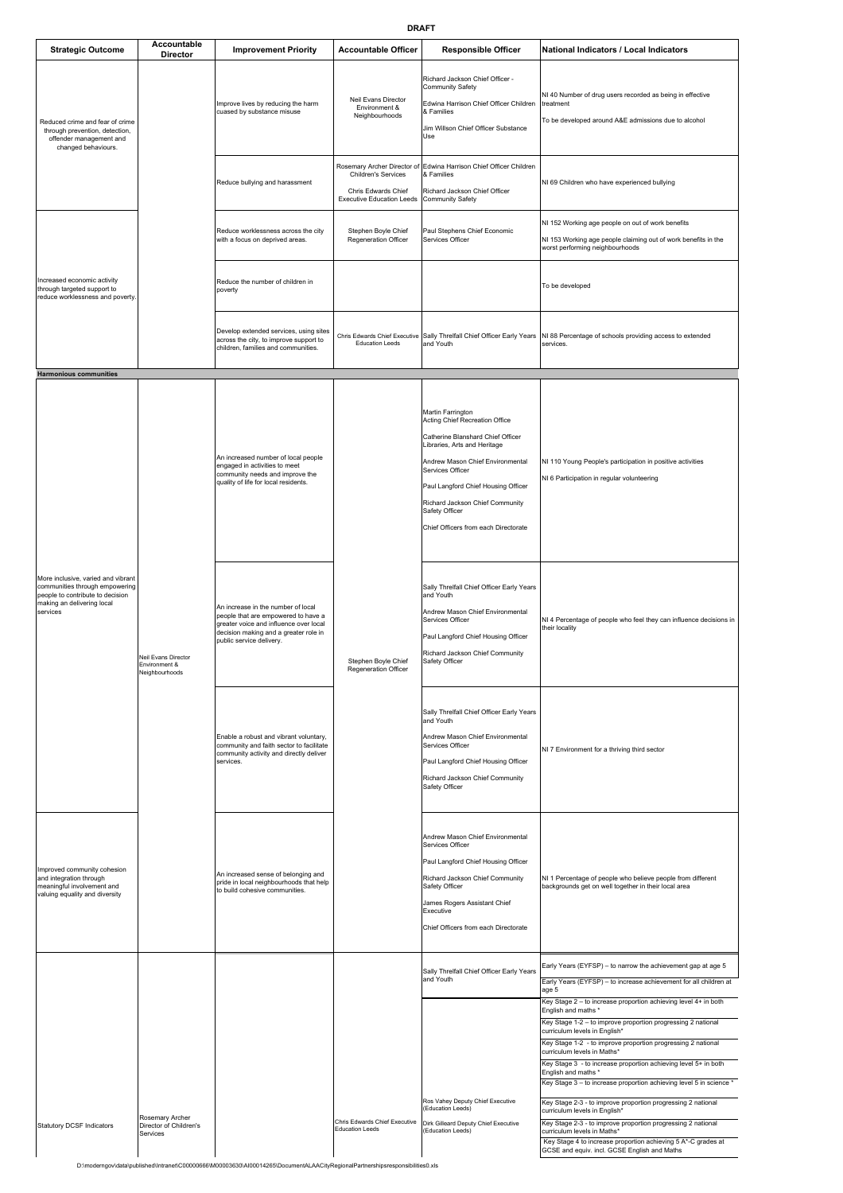| <b>Strategic Outcome</b>                                                                                                                                                            | Accountable<br>Director                                | <b>Improvement Priority</b>                                                                                                                                                              | <b>Accountable Officer</b>                                                                                    | <b>Responsible Officer</b>                                                                                                                                                                                                                                                                                           | National Indicators / Local Indicators                                                                                                                                                                                                                                                                                                                                                                                                                                                                                                                                                                                                                                                                |
|-------------------------------------------------------------------------------------------------------------------------------------------------------------------------------------|--------------------------------------------------------|------------------------------------------------------------------------------------------------------------------------------------------------------------------------------------------|---------------------------------------------------------------------------------------------------------------|----------------------------------------------------------------------------------------------------------------------------------------------------------------------------------------------------------------------------------------------------------------------------------------------------------------------|-------------------------------------------------------------------------------------------------------------------------------------------------------------------------------------------------------------------------------------------------------------------------------------------------------------------------------------------------------------------------------------------------------------------------------------------------------------------------------------------------------------------------------------------------------------------------------------------------------------------------------------------------------------------------------------------------------|
| Reduced crime and fear of crime<br>through prevention, detection,<br>offender management and<br>changed behaviours.                                                                 |                                                        | Improve lives by reducing the harm<br>cuased by substance misuse                                                                                                                         | Neil Evans Director<br>Environment &<br>Neighbourhoods                                                        | Richard Jackson Chief Officer -<br>Community Safety<br>Edwina Harrison Chief Officer Children<br>& Families<br>Jim Willson Chief Officer Substance<br>Use                                                                                                                                                            | NI 40 Number of drug users recorded as being in effective<br>treatment<br>To be developed around A&E admissions due to alcohol                                                                                                                                                                                                                                                                                                                                                                                                                                                                                                                                                                        |
|                                                                                                                                                                                     |                                                        | Reduce bullying and harassment                                                                                                                                                           | Rosemary Archer Director of<br>Children's Services<br>Chris Edwards Chief<br><b>Executive Education Leeds</b> | Edwina Harrison Chief Officer Children<br>& Families<br>Richard Jackson Chief Officer<br>Community Safety                                                                                                                                                                                                            | NI 69 Children who have experienced bullying                                                                                                                                                                                                                                                                                                                                                                                                                                                                                                                                                                                                                                                          |
|                                                                                                                                                                                     |                                                        | Reduce worklessness across the city<br>with a focus on deprived areas.                                                                                                                   | Stephen Boyle Chief<br>Regeneration Officer                                                                   | Paul Stephens Chief Economic<br>Services Officer                                                                                                                                                                                                                                                                     | NI 152 Working age people on out of work benefits<br>NI 153 Working age people claiming out of work benefits in the<br>worst performing neighbourhoods                                                                                                                                                                                                                                                                                                                                                                                                                                                                                                                                                |
| Increased economic activity<br>through targeted support to<br>reduce worklessness and poverty.                                                                                      |                                                        | Reduce the number of children in<br>poverty                                                                                                                                              |                                                                                                               |                                                                                                                                                                                                                                                                                                                      | To be developed                                                                                                                                                                                                                                                                                                                                                                                                                                                                                                                                                                                                                                                                                       |
|                                                                                                                                                                                     |                                                        | Develop extended services, using sites<br>across the city, to improve support to<br>children, families and communities.                                                                  | Chris Edwards Chief Executive<br><b>Education Leeds</b>                                                       | Sally Threlfall Chief Officer Early Years<br>and Youth                                                                                                                                                                                                                                                               | NI 88 Percentage of schools providing access to extended<br>services.                                                                                                                                                                                                                                                                                                                                                                                                                                                                                                                                                                                                                                 |
| <b>Harmonious communities</b><br>More inclusive, varied and vibrant<br>communities through empowering<br>people to contribute to decision<br>making an delivering local<br>services | Neil Evans Director<br>Environment &<br>Neighbourhoods | An increased number of local people<br>engaged in activities to meet<br>community needs and improve the<br>quality of life for local residents.                                          | Stephen Boyle Chief<br>Regeneration Officer                                                                   | Martin Farrington<br>Acting Chief Recreation Office<br>Catherine Blanshard Chief Officer<br>Libraries, Arts and Heritage<br>Andrew Mason Chief Environmental<br>Services Officer<br>Paul Langford Chief Housing Officer<br>Richard Jackson Chief Community<br>Safety Officer<br>Chief Officers from each Directorate | NI 110 Young People's participation in positive activities<br>NI 6 Participation in regular volunteering                                                                                                                                                                                                                                                                                                                                                                                                                                                                                                                                                                                              |
|                                                                                                                                                                                     |                                                        | An increase in the number of local<br>people that are empowered to have a<br>greater voice and influence over local<br>decision making and a greater role in<br>public service delivery. |                                                                                                               | Sally Threifall Chief Officer Early Years<br>and Youth<br>Andrew Mason Chief Environmental<br>Services Officer<br>Paul Langford Chief Housing Officer<br>Richard Jackson Chief Community<br>Safety Officer                                                                                                           | NI 4 Percentage of people who feel they can influence decisions in<br>their locality                                                                                                                                                                                                                                                                                                                                                                                                                                                                                                                                                                                                                  |
|                                                                                                                                                                                     |                                                        | Enable a robust and vibrant voluntary,<br>community and faith sector to facilitate<br>community activity and directly deliver<br>services.                                               |                                                                                                               | Sally Threlfall Chief Officer Early Years<br>and Youth<br>Andrew Mason Chief Environmental<br>Services Officer<br>Paul Langford Chief Housing Officer<br>Richard Jackson Chief Community<br>Safety Officer                                                                                                           | NI 7 Environment for a thriving third sector                                                                                                                                                                                                                                                                                                                                                                                                                                                                                                                                                                                                                                                          |
| Improved community cohesion<br>and integration through<br>meaningful involvement and<br>valuing equality and diversity                                                              |                                                        | An increased sense of belonging and<br>pride in local neighbourhoods that help<br>to build cohesive communities.                                                                         |                                                                                                               | Andrew Mason Chief Environmental<br>Services Officer<br>Paul Langford Chief Housing Officer<br>Richard Jackson Chief Community<br>Safety Officer<br>James Rogers Assistant Chief<br>Executive<br>Chief Officers from each Directorate                                                                                | NI 1 Percentage of people who believe people from different<br>backgrounds get on well together in their local area                                                                                                                                                                                                                                                                                                                                                                                                                                                                                                                                                                                   |
|                                                                                                                                                                                     |                                                        |                                                                                                                                                                                          |                                                                                                               | Sally Threlfall Chief Officer Early Years<br>and Youth                                                                                                                                                                                                                                                               | Early Years (EYFSP) - to narrow the achievement gap at age 5<br>Early Years (EYFSP) - to increase achievement for all children at<br>age 5<br>Key Stage 2 - to increase proportion achieving level 4+ in both                                                                                                                                                                                                                                                                                                                                                                                                                                                                                         |
| <b>Statutory DCSF Indicators</b>                                                                                                                                                    | Rosemary Archer<br>Director of Children's<br>Services  |                                                                                                                                                                                          | Chris Edwards Chief Executive<br><b>Education Leeds</b>                                                       | Ros Vahey Deputy Chief Executive<br>(Education Leeds)<br>Dirk Gilleard Deputy Chief Executive<br>(Education Leeds)                                                                                                                                                                                                   | English and maths *<br>Key Stage 1-2 - to improve proportion progressing 2 national<br>curriculum levels in English*<br>Key Stage 1-2 - to improve proportion progressing 2 national<br>curriculum levels in Maths*<br>Key Stage 3 - to increase proportion achieving level 5+ in both<br>English and maths *<br>Key Stage 3 - to increase proportion achieving level 5 in science *<br>Key Stage 2-3 - to improve proportion progressing 2 national<br>curriculum levels in English*<br>Key Stage 2-3 - to improve proportion progressing 2 national<br>curriculum levels in Maths*<br>Key Stage 4 to increase proportion achieving 5 A*-C grades at<br>GCSE and equiv. incl. GCSE English and Maths |

D:\moderngov\data\published\Intranet\C00000666\M00003630\AI00014265\DocumentALAACityRegionalPartnershipsresponsibilities0.xls